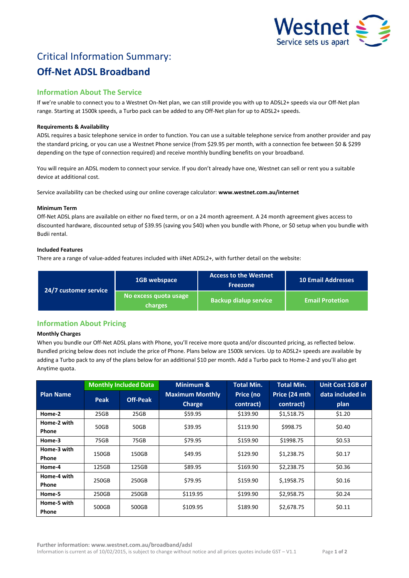

# Critical Information Summary: **Off-Net ADSL Broadband**

# **Information About The Service**

If we're unable to connect you to a Westnet On-Net plan, we can still provide you with up to ADSL2+ speeds via our Off-Net plan range. Starting at 1500k speeds, a Turbo pack can be added to any Off-Net plan for up to ADSL2+ speeds.

# **Requirements & Availability**

ADSL requires a basic telephone service in order to function. You can use a suitable telephone service from another provider and pay the standard pricing, or you can use a Westnet Phone service (from \$29.95 per month, with a connection fee between \$0 & \$299 depending on the type of connection required) and receive monthly bundling benefits on your broadband.

You will require an ADSL modem to connect your service. If you don't already have one, Westnet can sell or rent you a suitable device at additional cost.

Service availability can be checked using our online coverage calculator: **www.westnet.com.au/internet**

# **Minimum Term**

Off-Net ADSL plans are available on either no fixed term, or on a 24 month agreement. A 24 month agreement gives access to discounted hardware, discounted setup of \$39.95 (saving you \$40) when you bundle with Phone, or \$0 setup when you bundle with Budii rental.

# **Included Features**

There are a range of value-added features included with iiNet ADSL2+, with further detail on the website:

| 24/7 customer service | <b>1GB webspace</b>              | <b>Access to the Westnet</b><br><b>Freezone</b> | <b>10 Email Addresses</b> |  |
|-----------------------|----------------------------------|-------------------------------------------------|---------------------------|--|
|                       | No excess quota usage<br>charges | <b>Backup dialup service</b>                    | <b>Email Protetion</b>    |  |

# **Information About Pricing**

# **Monthly Charges**

When you bundle our Off-Net ADSL plans with Phone, you'll receive more quota and/or discounted pricing, as reflected below. Bundled pricing below does not include the price of Phone. Plans below are 1500k services. Up to ADSL2+ speeds are available by adding a Turbo pack to any of the plans below for an additional \$10 per month. Add a Turbo pack to Home-2 and you'll also get Anytime quota.

|                             | <b>Monthly Included Data</b> |                 | Minimum &                               | <b>Total Min.</b>      | <b>Total Min.</b>          | Unit Cost 1GB of         |
|-----------------------------|------------------------------|-----------------|-----------------------------------------|------------------------|----------------------------|--------------------------|
| <b>Plan Name</b>            | Peak                         | <b>Off-Peak</b> | <b>Maximum Monthly</b><br><b>Charge</b> | Price (no<br>contract) | Price (24 mth<br>contract) | data included in<br>plan |
| Home-2                      | 25GB                         | 25GB            | \$59.95                                 | \$139.90               | \$1,518.75                 | \$1.20                   |
| Home-2 with<br><b>Phone</b> | 50GB                         | 50GB            | \$39.95                                 | \$119.90               | \$998.75                   | \$0.40                   |
| Home-3                      | 75GB                         | 75GB            | \$79.95                                 | \$159.90               | \$1998.75                  | \$0.53                   |
| Home-3 with<br>Phone        | 150GB                        | 150GB           | \$49.95                                 | \$129.90               | \$1,238.75                 | \$0.17                   |
| Home-4                      | 125GB                        | 125GB           | \$89.95                                 | \$169.90               | \$2,238.75                 | \$0.36                   |
| Home-4 with<br>Phone        | 250GB                        | 250GB           | \$79.95                                 | \$159.90               | \$,1958.75                 | \$0.16                   |
| Home-5                      | 250GB                        | 250GB           | \$119.95                                | \$199.90               | \$2,958.75                 | \$0.24                   |
| Home-5 with<br>Phone        | 500GB                        | 500GB           | \$109.95                                | \$189.90               | \$2,678.75                 | \$0.11                   |